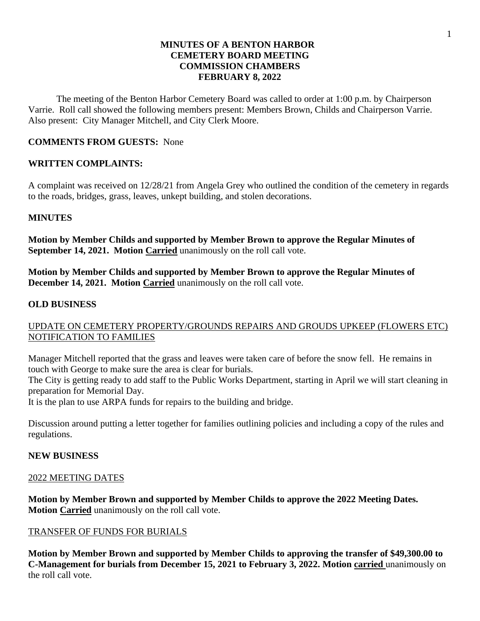# **MINUTES OF A BENTON HARBOR CEMETERY BOARD MEETING COMMISSION CHAMBERS FEBRUARY 8, 2022**

The meeting of the Benton Harbor Cemetery Board was called to order at 1:00 p.m. by Chairperson Varrie. Roll call showed the following members present: Members Brown, Childs and Chairperson Varrie. Also present: City Manager Mitchell, and City Clerk Moore.

# **COMMENTS FROM GUESTS:** None

# **WRITTEN COMPLAINTS:**

A complaint was received on 12/28/21 from Angela Grey who outlined the condition of the cemetery in regards to the roads, bridges, grass, leaves, unkept building, and stolen decorations.

# **MINUTES**

**Motion by Member Childs and supported by Member Brown to approve the Regular Minutes of September 14, 2021. Motion Carried** unanimously on the roll call vote.

**Motion by Member Childs and supported by Member Brown to approve the Regular Minutes of December 14, 2021. Motion Carried** unanimously on the roll call vote.

# **OLD BUSINESS**

# UPDATE ON CEMETERY PROPERTY/GROUNDS REPAIRS AND GROUDS UPKEEP (FLOWERS ETC) NOTIFICATION TO FAMILIES

Manager Mitchell reported that the grass and leaves were taken care of before the snow fell. He remains in touch with George to make sure the area is clear for burials.

The City is getting ready to add staff to the Public Works Department, starting in April we will start cleaning in preparation for Memorial Day.

It is the plan to use ARPA funds for repairs to the building and bridge.

Discussion around putting a letter together for families outlining policies and including a copy of the rules and regulations.

### **NEW BUSINESS**

### 2022 MEETING DATES

**Motion by Member Brown and supported by Member Childs to approve the 2022 Meeting Dates. Motion Carried** unanimously on the roll call vote.

### TRANSFER OF FUNDS FOR BURIALS

**Motion by Member Brown and supported by Member Childs to approving the transfer of \$49,300.00 to C-Management for burials from December 15, 2021 to February 3, 2022. Motion carried** unanimously on the roll call vote.